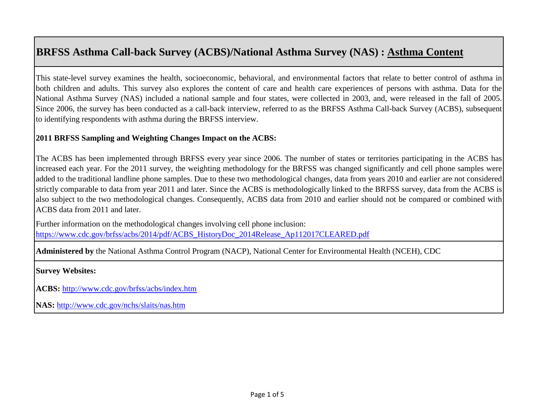This state-level survey examines the health, socioeconomic, behavioral, and environmental factors that relate to better control of asthma in both children and adults. This survey also explores the content of care and health care experiences of persons with asthma. Data for the National Asthma Survey (NAS) included a national sample and four states, were collected in 2003, and, were released in the fall of 2005. Since 2006, the survey has been conducted as a call-back interview, referred to as the BRFSS Asthma Call-back Survey (ACBS), subsequent to identifying respondents with asthma during the BRFSS interview.

### **2011 BRFSS Sampling and Weighting Changes Impact on the ACBS:**

The ACBS has been implemented through BRFSS every year since 2006. The number of states or territories participating in the ACBS has increased each year. For the 2011 survey, the weighting methodology for the BRFSS was changed significantly and cell phone samples were added to the traditional landline phone samples. Due to these two methodological changes, data from years 2010 and earlier are not considered strictly comparable to data from year 2011 and later. Since the ACBS is methodologically linked to the BRFSS survey, data from the ACBS is also subject to the two methodological changes. Consequently, ACBS data from 2010 and earlier should not be compared or combined with ACBS data from 2011 and later.

[Further information on the methodological changes involving cell phone inclusion:](https://www.cdc.gov/brfss/acbs/2014/pdf/ACBS_HistoryDoc_2014Release_Ap112017CLEARED.pdf)  [https://www.cdc.gov/brfss/acbs/2014/pdf/ACBS\\_HistoryDoc\\_2014Release\\_Ap112017CLEARED.pdf](https://www.cdc.gov/brfss/acbs/2014/pdf/ACBS_HistoryDoc_2014Release_Ap112017CLEARED.pdf)

**Administered by** the National Asthma Control Program (NACP), National Center for Environmental Health (NCEH), CDC

## **Survey Websites:**

**[ACBS:](http://www.cdc.gov/brfss/acbs/index.htm)** <http://www.cdc.gov/brfss/acbs/index.htm>

**[NAS:](http://www.cdc.gov/nchs/slaits/nas.htm)** <http://www.cdc.gov/nchs/slaits/nas.htm>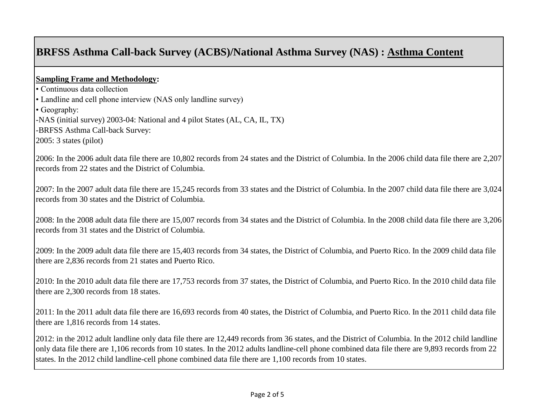### **Sampling Frame and Methodology:**

• Continuous data collection • Landline and cell phone interview (NAS only landline survey) • Geography: -NAS (initial survey) 2003-04: National and 4 pilot States (AL, CA, IL, TX) -BRFSS Asthma Call-back Survey: 2005: 3 states (pilot)

2006: In the 2006 adult data file there are 10,802 records from 24 states and the District of Columbia. In the 2006 child data file there are 2,207 records from 22 states and the District of Columbia.

2007: In the 2007 adult data file there are 15,245 records from 33 states and the District of Columbia. In the 2007 child data file there are 3,024 records from 30 states and the District of Columbia.

2008: In the 2008 adult data file there are 15,007 records from 34 states and the District of Columbia. In the 2008 child data file there are 3,206 records from 31 states and the District of Columbia.

2009: In the 2009 adult data file there are 15,403 records from 34 states, the District of Columbia, and Puerto Rico. In the 2009 child data file there are 2,836 records from 21 states and Puerto Rico.

2010: In the 2010 adult data file there are 17,753 records from 37 states, the District of Columbia, and Puerto Rico. In the 2010 child data file there are 2,300 records from 18 states.

2011: In the 2011 adult data file there are 16,693 records from 40 states, the District of Columbia, and Puerto Rico. In the 2011 child data file there are 1,816 records from 14 states.

2012: in the 2012 adult landline only data file there are 12,449 records from 36 states, and the District of Columbia. In the 2012 child landline only data file there are 1,106 records from 10 states. In the 2012 adults landline-cell phone combined data file there are 9,893 records from 22 states. In the 2012 child landline-cell phone combined data file there are 1,100 records from 10 states.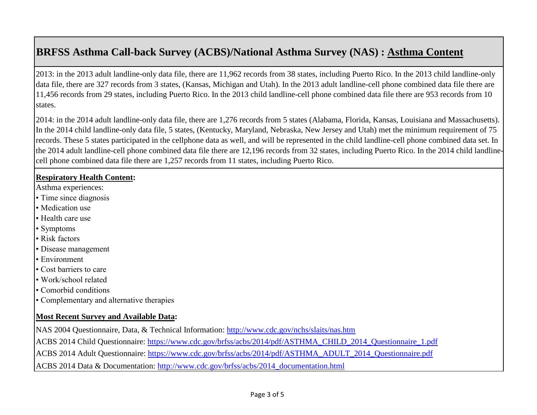2013: in the 2013 adult landline-only data file, there are 11,962 records from 38 states, including Puerto Rico. In the 2013 child landline-only data file, there are 327 records from 3 states, (Kansas, Michigan and Utah). In the 2013 adult landline-cell phone combined data file there are 11,456 records from 29 states, including Puerto Rico. In the 2013 child landline-cell phone combined data file there are 953 records from 10 states.

2014: in the 2014 adult landline-only data file, there are 1,276 records from 5 states (Alabama, Florida, Kansas, Louisiana and Massachusetts). In the 2014 child landline-only data file, 5 states, (Kentucky, Maryland, Nebraska, New Jersey and Utah) met the minimum requirement of 75 records. These 5 states participated in the cellphone data as well, and will be represented in the child landline-cell phone combined data set. In the 2014 adult landline-cell phone combined data file there are 12,196 records from 32 states, including Puerto Rico. In the 2014 child landlinecell phone combined data file there are 1,257 records from 11 states, including Puerto Rico.

#### **Respiratory Health Content:**

- Asthma experiences:
- Time since diagnosis
- Medication use
- Health care use
- Symptoms
- Risk factors
- Disease management
- Environment
- Cost barriers to care
- Work/school related
- Comorbid conditions
- Complementary and alternative therapies

## **Most Recent Survey and Available Data:**

[NAS 2004 Questionnaire, Data, & Technical Information:](http://www.cdc.gov/nchs/slaits/nas.htm) <http://www.cdc.gov/nchs/slaits/nas.htm>

[ACBS 2014 Child Questionnaire: https://www.cdc.gov/brfss/acbs/2014/pdf/ASTHMA\\_CHILD\\_2014\\_Questionnaire\\_1.pdf](https://www.cdc.gov/brfss/acbs/2014/pdf/ASTHMA_CHILD_2014_Questionnaire_1.pdf) [ACBS 2014 Adult Questionnaire: https://www.cdc.gov/brfss/acbs/2014/pdf/ASTHMA\\_ADULT\\_2014\\_Questionnaire.pdf](https://www.cdc.gov/brfss/acbs/2014/pdf/ASTHMA_ADULT_2014_Questionnaire.pdf) [ACBS 2014 Data & Documentation: http://www.cdc.gov/brfss/acbs/2014\\_documentation.html](http://www.cdc.gov/brfss/acbs/2014_documentation.html)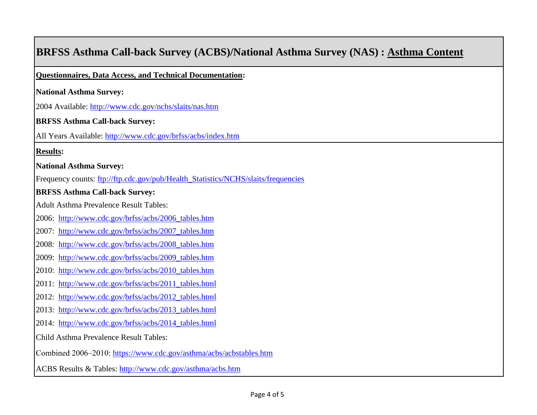| <b>BRFSS Asthma Call-back Survey (ACBS)/National Asthma Survey (NAS): Asthma Content</b> |
|------------------------------------------------------------------------------------------|
| Questionnaires, Data Access, and Technical Documentation:                                |
| <b>National Asthma Survey:</b>                                                           |
| 2004 Available: http://www.cdc.gov/nchs/slaits/nas.htm                                   |
| <b>BRFSS Asthma Call-back Survey:</b>                                                    |
| All Years Available: http://www.cdc.gov/brfss/acbs/index.htm                             |
| <b>Results:</b>                                                                          |
| <b>National Asthma Survey:</b>                                                           |
| Frequency counts: ftp://ftp.cdc.gov/pub/Health_Statistics/NCHS/slaits/frequencies        |
| <b>BRFSS Asthma Call-back Survey:</b>                                                    |
| <b>Adult Asthma Prevalence Result Tables:</b>                                            |
| 2006: http://www.cdc.gov/brfss/acbs/2006_tables.htm                                      |
| 2007: http://www.cdc.gov/brfss/acbs/2007_tables.htm                                      |
| 2008: http://www.cdc.gov/brfss/acbs/2008_tables.htm                                      |
| 2009: http://www.cdc.gov/brfss/acbs/2009_tables.htm                                      |
| 2010: http://www.cdc.gov/brfss/acbs/2010_tables.htm                                      |
| 2011: http://www.cdc.gov/brfss/acbs/2011_tables.html                                     |
| 2012: http://www.cdc.gov/brfss/acbs/2012_tables.html                                     |
| 2013: http://www.cdc.gov/brfss/acbs/2013_tables.html                                     |
| 2014: http://www.cdc.gov/brfss/acbs/2014_tables.html                                     |
| Child Asthma Prevalence Result Tables:                                                   |
| Combined 2006-2010: https://www.cdc.gov/asthma/acbs/acbstables.htm                       |
| ACBS Results & Tables: http://www.cdc.gov/asthma/acbs.htm                                |